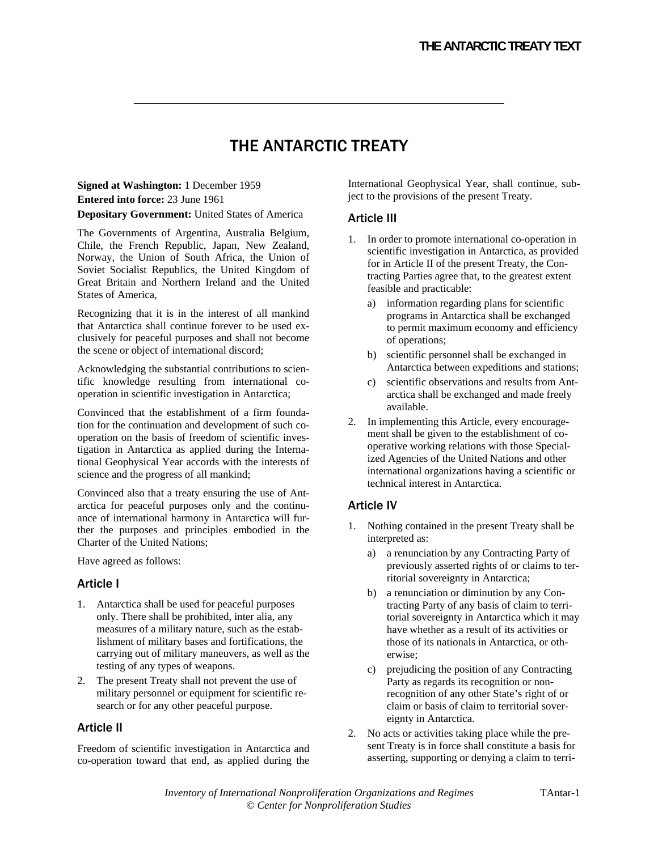# THE ANTARCTIC TREATY

**Signed at Washington:** 1 December 1959 **Entered into force:** 23 June 1961 **Depositary Government:** United States of America

The Governments of Argentina, Australia Belgium, Chile, the French Republic, Japan, New Zealand, Norway, the Union of South Africa, the Union of Soviet Socialist Republics, the United Kingdom of Great Britain and Northern Ireland and the United States of America,

Recognizing that it is in the interest of all mankind that Antarctica shall continue forever to be used exclusively for peaceful purposes and shall not become the scene or object of international discord;

Acknowledging the substantial contributions to scientific knowledge resulting from international cooperation in scientific investigation in Antarctica;

Convinced that the establishment of a firm foundation for the continuation and development of such cooperation on the basis of freedom of scientific investigation in Antarctica as applied during the International Geophysical Year accords with the interests of science and the progress of all mankind;

Convinced also that a treaty ensuring the use of Antarctica for peaceful purposes only and the continuance of international harmony in Antarctica will further the purposes and principles embodied in the Charter of the United Nations;

Have agreed as follows:

### Article I

- 1. Antarctica shall be used for peaceful purposes only. There shall be prohibited, inter alia, any measures of a military nature, such as the establishment of military bases and fortifications, the carrying out of military maneuvers, as well as the testing of any types of weapons.
- 2. The present Treaty shall not prevent the use of military personnel or equipment for scientific research or for any other peaceful purpose.

### Article II

Freedom of scientific investigation in Antarctica and co-operation toward that end, as applied during the

International Geophysical Year, shall continue, subject to the provisions of the present Treaty.

### Article III

- 1. In order to promote international co-operation in scientific investigation in Antarctica, as provided for in Article II of the present Treaty, the Contracting Parties agree that, to the greatest extent feasible and practicable:
	- a) information regarding plans for scientific programs in Antarctica shall be exchanged to permit maximum economy and efficiency of operations;
	- b) scientific personnel shall be exchanged in Antarctica between expeditions and stations;
	- c) scientific observations and results from Antarctica shall be exchanged and made freely available.
- 2. In implementing this Article, every encouragement shall be given to the establishment of cooperative working relations with those Specialized Agencies of the United Nations and other international organizations having a scientific or technical interest in Antarctica.

# Article IV

- 1. Nothing contained in the present Treaty shall be interpreted as:
	- a) a renunciation by any Contracting Party of previously asserted rights of or claims to territorial sovereignty in Antarctica;
	- b) a renunciation or diminution by any Contracting Party of any basis of claim to territorial sovereignty in Antarctica which it may have whether as a result of its activities or those of its nationals in Antarctica, or otherwise;
	- c) prejudicing the position of any Contracting Party as regards its recognition or nonrecognition of any other State's right of or claim or basis of claim to territorial sovereignty in Antarctica.
- 2. No acts or activities taking place while the present Treaty is in force shall constitute a basis for asserting, supporting or denying a claim to terri-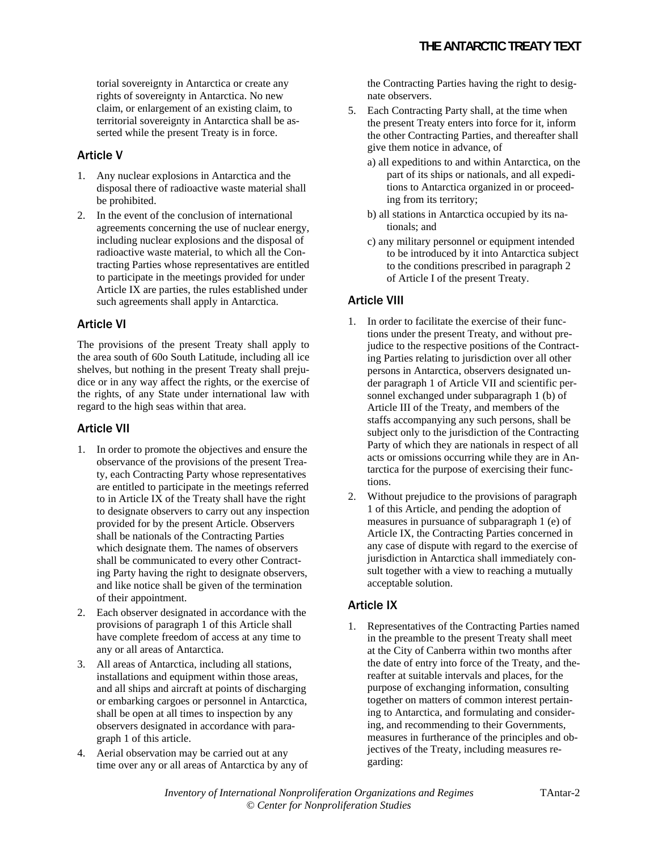torial sovereignty in Antarctica or create any rights of sovereignty in Antarctica. No new claim, or enlargement of an existing claim, to territorial sovereignty in Antarctica shall be asserted while the present Treaty is in force.

# Article V

- 1. Any nuclear explosions in Antarctica and the disposal there of radioactive waste material shall be prohibited.
- 2. In the event of the conclusion of international agreements concerning the use of nuclear energy, including nuclear explosions and the disposal of radioactive waste material, to which all the Contracting Parties whose representatives are entitled to participate in the meetings provided for under Article IX are parties, the rules established under such agreements shall apply in Antarctica.

# Article VI

The provisions of the present Treaty shall apply to the area south of 60o South Latitude, including all ice shelves, but nothing in the present Treaty shall prejudice or in any way affect the rights, or the exercise of the rights, of any State under international law with regard to the high seas within that area.

# Article VII

- 1. In order to promote the objectives and ensure the observance of the provisions of the present Treaty, each Contracting Party whose representatives are entitled to participate in the meetings referred to in Article IX of the Treaty shall have the right to designate observers to carry out any inspection provided for by the present Article. Observers shall be nationals of the Contracting Parties which designate them. The names of observers shall be communicated to every other Contracting Party having the right to designate observers, and like notice shall be given of the termination of their appointment.
- 2. Each observer designated in accordance with the provisions of paragraph 1 of this Article shall have complete freedom of access at any time to any or all areas of Antarctica.
- 3. All areas of Antarctica, including all stations, installations and equipment within those areas, and all ships and aircraft at points of discharging or embarking cargoes or personnel in Antarctica, shall be open at all times to inspection by any observers designated in accordance with paragraph 1 of this article.
- 4. Aerial observation may be carried out at any time over any or all areas of Antarctica by any of

the Contracting Parties having the right to designate observers.

- 5. Each Contracting Party shall, at the time when the present Treaty enters into force for it, inform the other Contracting Parties, and thereafter shall give them notice in advance, of
	- a) all expeditions to and within Antarctica, on the part of its ships or nationals, and all expeditions to Antarctica organized in or proceeding from its territory;
	- b) all stations in Antarctica occupied by its nationals; and
	- c) any military personnel or equipment intended to be introduced by it into Antarctica subject to the conditions prescribed in paragraph 2 of Article I of the present Treaty.

# Article VIII

- 1. In order to facilitate the exercise of their functions under the present Treaty, and without prejudice to the respective positions of the Contracting Parties relating to jurisdiction over all other persons in Antarctica, observers designated under paragraph 1 of Article VII and scientific personnel exchanged under subparagraph 1 (b) of Article III of the Treaty, and members of the staffs accompanying any such persons, shall be subject only to the jurisdiction of the Contracting Party of which they are nationals in respect of all acts or omissions occurring while they are in Antarctica for the purpose of exercising their functions.
- 2. Without prejudice to the provisions of paragraph 1 of this Article, and pending the adoption of measures in pursuance of subparagraph 1 (e) of Article IX, the Contracting Parties concerned in any case of dispute with regard to the exercise of jurisdiction in Antarctica shall immediately consult together with a view to reaching a mutually acceptable solution.

# Article IX

1. Representatives of the Contracting Parties named in the preamble to the present Treaty shall meet at the City of Canberra within two months after the date of entry into force of the Treaty, and thereafter at suitable intervals and places, for the purpose of exchanging information, consulting together on matters of common interest pertaining to Antarctica, and formulating and considering, and recommending to their Governments, measures in furtherance of the principles and objectives of the Treaty, including measures regarding: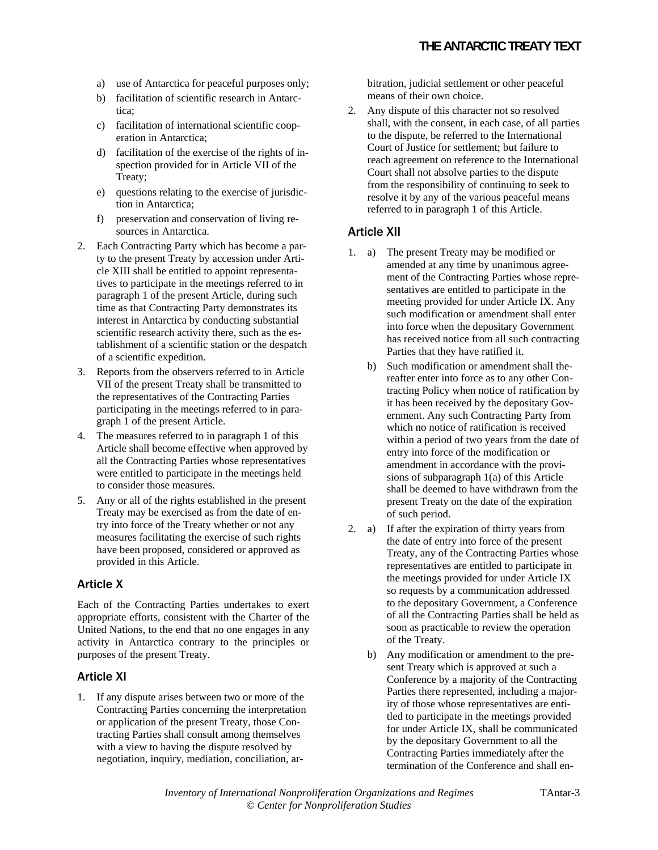- a) use of Antarctica for peaceful purposes only;
- b) facilitation of scientific research in Antarctica<sup>.</sup>
- c) facilitation of international scientific cooperation in Antarctica;
- d) facilitation of the exercise of the rights of inspection provided for in Article VII of the Treaty;
- e) questions relating to the exercise of jurisdiction in Antarctica;
- f) preservation and conservation of living resources in Antarctica.
- 2. Each Contracting Party which has become a party to the present Treaty by accession under Article XIII shall be entitled to appoint representatives to participate in the meetings referred to in paragraph 1 of the present Article, during such time as that Contracting Party demonstrates its interest in Antarctica by conducting substantial scientific research activity there, such as the establishment of a scientific station or the despatch of a scientific expedition.
- 3. Reports from the observers referred to in Article VII of the present Treaty shall be transmitted to the representatives of the Contracting Parties participating in the meetings referred to in paragraph 1 of the present Article.
- 4. The measures referred to in paragraph 1 of this Article shall become effective when approved by all the Contracting Parties whose representatives were entitled to participate in the meetings held to consider those measures.
- 5. Any or all of the rights established in the present Treaty may be exercised as from the date of entry into force of the Treaty whether or not any measures facilitating the exercise of such rights have been proposed, considered or approved as provided in this Article.

# Article X

Each of the Contracting Parties undertakes to exert appropriate efforts, consistent with the Charter of the United Nations, to the end that no one engages in any activity in Antarctica contrary to the principles or purposes of the present Treaty.

### Article XI

1. If any dispute arises between two or more of the Contracting Parties concerning the interpretation or application of the present Treaty, those Contracting Parties shall consult among themselves with a view to having the dispute resolved by negotiation, inquiry, mediation, conciliation, arbitration, judicial settlement or other peaceful means of their own choice.

2. Any dispute of this character not so resolved shall, with the consent, in each case, of all parties to the dispute, be referred to the International Court of Justice for settlement; but failure to reach agreement on reference to the International Court shall not absolve parties to the dispute from the responsibility of continuing to seek to resolve it by any of the various peaceful means referred to in paragraph 1 of this Article.

### Article XII

- 1. a) The present Treaty may be modified or amended at any time by unanimous agreement of the Contracting Parties whose representatives are entitled to participate in the meeting provided for under Article IX. Any such modification or amendment shall enter into force when the depositary Government has received notice from all such contracting Parties that they have ratified it.
	- b) Such modification or amendment shall thereafter enter into force as to any other Contracting Policy when notice of ratification by it has been received by the depositary Government. Any such Contracting Party from which no notice of ratification is received within a period of two years from the date of entry into force of the modification or amendment in accordance with the provisions of subparagraph 1(a) of this Article shall be deemed to have withdrawn from the present Treaty on the date of the expiration of such period.
- 2. a) If after the expiration of thirty years from the date of entry into force of the present Treaty, any of the Contracting Parties whose representatives are entitled to participate in the meetings provided for under Article IX so requests by a communication addressed to the depositary Government, a Conference of all the Contracting Parties shall be held as soon as practicable to review the operation of the Treaty.
	- b) Any modification or amendment to the present Treaty which is approved at such a Conference by a majority of the Contracting Parties there represented, including a majority of those whose representatives are entitled to participate in the meetings provided for under Article IX, shall be communicated by the depositary Government to all the Contracting Parties immediately after the termination of the Conference and shall en-